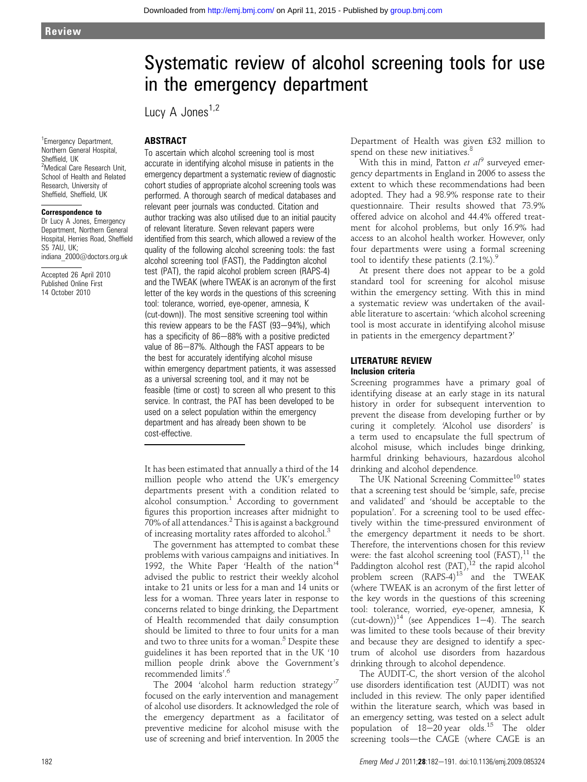# Systematic review of alcohol screening tools for use in the emergency department

Lucy A Jones<sup>1,2</sup>

## ABSTRACT

To ascertain which alcohol screening tool is most accurate in identifying alcohol misuse in patients in the emergency department a systematic review of diagnostic cohort studies of appropriate alcohol screening tools was performed. A thorough search of medical databases and relevant peer journals was conducted. Citation and author tracking was also utilised due to an initial paucity of relevant literature. Seven relevant papers were identified from this search, which allowed a review of the quality of the following alcohol screening tools: the fast alcohol screening tool (FAST), the Paddington alcohol test (PAT), the rapid alcohol problem screen (RAPS-4) and the TWEAK (where TWEAK is an acronym of the first letter of the key words in the questions of this screening tool: tolerance, worried, eye-opener, amnesia, K (cut-down)). The most sensitive screening tool within this review appears to be the FAST  $(93-94%)$ , which has a specificity of  $86-88%$  with a positive predicted value of  $86-87\%$ . Although the FAST appears to be the best for accurately identifying alcohol misuse within emergency department patients, it was assessed as a universal screening tool, and it may not be feasible (time or cost) to screen all who present to this service. In contrast, the PAT has been developed to be used on a select population within the emergency department and has already been shown to be cost-effective.

It has been estimated that annually a third of the 14 million people who attend the UK's emergency departments present with a condition related to alcohol consumption. $1$  According to government figures this proportion increases after midnight to 70% of all attendances. $2$  This is against a background of increasing mortality rates afforded to alcohol.<sup>3</sup>

The government has attempted to combat these problems with various campaigns and initiatives. In 1992, the White Paper 'Health of the nation'<sup>4</sup> advised the public to restrict their weekly alcohol intake to 21 units or less for a man and 14 units or less for a woman. Three years later in response to concerns related to binge drinking, the Department of Health recommended that daily consumption should be limited to three to four units for a man and two to three units for a woman.<sup>5</sup> Despite these guidelines it has been reported that in the UK '10 million people drink above the Government's recommended limits'. 6

The 2004 'alcohol harm reduction strategy'<sup>7</sup> focused on the early intervention and management of alcohol use disorders. It acknowledged the role of the emergency department as a facilitator of preventive medicine for alcohol misuse with the use of screening and brief intervention. In 2005 the Department of Health was given £32 million to spend on these new initiatives. $8$ 

With this in mind, Patton et  $al^9$  surveyed emergency departments in England in 2006 to assess the extent to which these recommendations had been adopted. They had a 98.9% response rate to their questionnaire. Their results showed that 73.9% offered advice on alcohol and 44.4% offered treatment for alcohol problems, but only 16.9% had access to an alcohol health worker. However, only four departments were using a formal screening tool to identify these patients  $(2.1\%)$ .

At present there does not appear to be a gold standard tool for screening for alcohol misuse within the emergency setting. With this in mind a systematic review was undertaken of the available literature to ascertain: 'which alcohol screening tool is most accurate in identifying alcohol misuse in patients in the emergency department?'

#### LITERATURE REVIEW Inclusion criteria

Screening programmes have a primary goal of identifying disease at an early stage in its natural history in order for subsequent intervention to prevent the disease from developing further or by curing it completely. 'Alcohol use disorders' is a term used to encapsulate the full spectrum of alcohol misuse, which includes binge drinking, harmful drinking behaviours, hazardous alcohol drinking and alcohol dependence.

The UK National Screening Committee<sup>10</sup> states that a screening test should be 'simple, safe, precise and validated' and 'should be acceptable to the population'. For a screening tool to be used effectively within the time-pressured environment of the emergency department it needs to be short. Therefore, the interventions chosen for this review were: the fast alcohol screening tool (FAST), $^{11}$  the Paddington alcohol rest  $(PAT)$ ,<sup>12</sup> the rapid alcohol problem screen (RAPS-4)<sup>13</sup> and the TWEAK (where TWEAK is an acronym of the first letter of the key words in the questions of this screening tool: tolerance, worried, eye-opener, amnesia, K (cut-down))<sup>14</sup> (see Appendices 1–4). The search was limited to these tools because of their brevity and because they are designed to identify a spectrum of alcohol use disorders from hazardous drinking through to alcohol dependence.

The AUDIT-C, the short version of the alcohol use disorders identification test (AUDIT) was not included in this review. The only paper identified within the literature search, which was based in an emergency setting, was tested on a select adult population of  $18-20$  year olds.<sup>15</sup> The older screening tools-the CAGE (where CAGE is an

#### 1 Emergency Department, Northern General Hospital, Sheffield, UK <sup>2</sup>Medical Care Research Unit, School of Health and Related Research, University of Sheffield, Sheffield, UK

#### Correspondence to

Dr Lucy A Jones, Emergency Department, Northern General Hospital, Herries Road, Sheffield S5 7AU, UK; indiana\_2000@doctors.org.uk

Accepted 26 April 2010 Published Online First 14 October 2010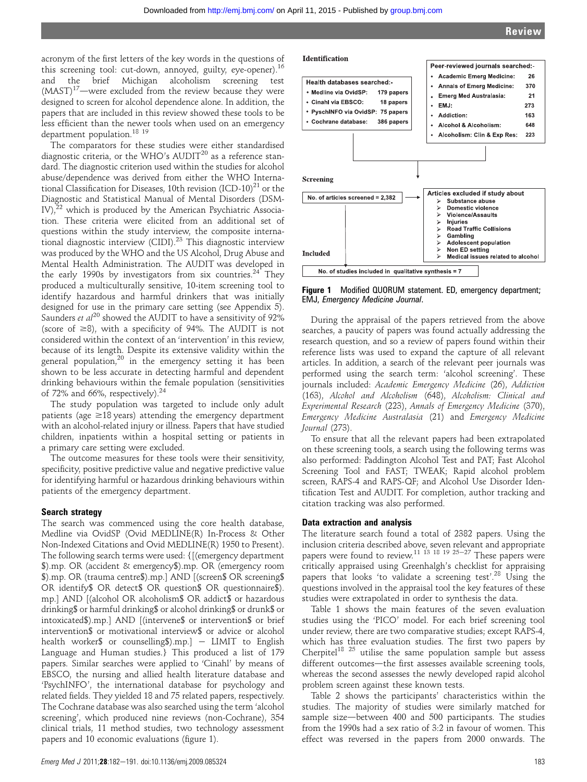acronym of the first letters of the key words in the questions of this screening tool: cut-down, annoyed, guilty, eye-opener).<sup>16</sup> and the brief Michigan alcoholism screening test  $(MAST)^{17}$ —were excluded from the review because they were designed to screen for alcohol dependence alone. In addition, the papers that are included in this review showed these tools to be less efficient than the newer tools when used on an emergency department population.<sup>18</sup><sup>19</sup>

The comparators for these studies were either standardised diagnostic criteria, or the WHO's  $\text{AUDIT}^{20}$  as a reference standard. The diagnostic criterion used within the studies for alcohol abuse/dependence was derived from either the WHO International Classification for Diseases, 10th revision  $(ICD-10)^{21}$  or the Diagnostic and Statistical Manual of Mental Disorders (DSM-IV), $^{22}$  which is produced by the American Psychiatric Association. These criteria were elicited from an additional set of questions within the study interview, the composite international diagnostic interview (CIDI).<sup>23</sup> This diagnostic interview was produced by the WHO and the US Alcohol, Drug Abuse and Mental Health Administration. The AUDIT was developed in the early 1990s by investigators from six countries.<sup>24</sup> They produced a multiculturally sensitive, 10-item screening tool to identify hazardous and harmful drinkers that was initially designed for use in the primary care setting (see Appendix 5). Saunders *et al*<sup>20</sup> showed the AUDIT to have a sensitivity of  $92\%$ (score of  $\geq$ 8), with a specificity of 94%. The AUDIT is not considered within the context of an 'intervention' in this review, because of its length. Despite its extensive validity within the general population,<sup>20</sup> in the emergency setting it has been shown to be less accurate in detecting harmful and dependent drinking behaviours within the female population (sensitivities of 72% and 66%, respectively).<sup>24</sup>

The study population was targeted to include only adult patients (age  $\geq$ 18 years) attending the emergency department with an alcohol-related injury or illness. Papers that have studied children, inpatients within a hospital setting or patients in a primary care setting were excluded.

The outcome measures for these tools were their sensitivity, specificity, positive predictive value and negative predictive value for identifying harmful or hazardous drinking behaviours within patients of the emergency department.

#### Search strategy

The search was commenced using the core health database, Medline via OvidSP (Ovid MEDLINE(R) In-Process & Other Non-Indexed Citations and Ovid MEDLINE(R) 1950 to Present). The following search terms were used: {[(emergency department \$).mp. OR (accident & emergency\$).mp. OR (emergency room \$).mp. OR (trauma centre\$).mp.] AND [(screen\$ OR screening\$ OR identify\$ OR detect\$ OR question\$ OR questionnaire\$). mp.] AND [(alcohol OR alcoholism\$ OR addict\$ or hazardous drinking\$ or harmful drinking\$ or alcohol drinking\$ or drunk\$ or intoxicated\$).mp.] AND [(intervene\$ or intervention\$ or brief intervention\$ or motivational interview\$ or advice or alcohol health worker\$ or counselling\$).mp.]  $-$  LIMIT to English Language and Human studies.} This produced a list of 179 papers. Similar searches were applied to 'Cinahl' by means of EBSCO, the nursing and allied health literature database and 'PsychINFO', the international database for psychology and related fields. They yielded 18 and 75 related papers, respectively. The Cochrane database was also searched using the term 'alcohol screening', which produced nine reviews (non-Cochrane), 354 clinical trials, 11 method studies, two technology assessment papers and 10 economic evaluations (figure 1).





Figure 1 Modified QUORUM statement. ED, emergency department; EMJ, Emergency Medicine Journal.

During the appraisal of the papers retrieved from the above searches, a paucity of papers was found actually addressing the research question, and so a review of papers found within their reference lists was used to expand the capture of all relevant articles. In addition, a search of the relevant peer journals was performed using the search term: 'alcohol screening'. These journals included: Academic Emergency Medicine (26), Addiction (163), Alcohol and Alcoholism (648), Alcoholism: Clinical and Experimental Research (223), Annals of Emergency Medicine (370), Emergency Medicine Australasia (21) and Emergency Medicine Journal (273).

To ensure that all the relevant papers had been extrapolated on these screening tools, a search using the following terms was also performed: Paddington Alcohol Test and PAT; Fast Alcohol Screening Tool and FAST; TWEAK; Rapid alcohol problem screen, RAPS-4 and RAPS-QF; and Alcohol Use Disorder Identification Test and AUDIT. For completion, author tracking and citation tracking was also performed.

#### Data extraction and analysis

The literature search found a total of 2382 papers. Using the inclusion criteria described above, seven relevant and appropriate papers were found to review.<sup>11 13</sup> <sup>18</sup> <sup>19</sup> <sup>25–27</sup> These papers were critically appraised using Greenhalgh's checklist for appraising papers that looks 'to validate a screening test'.<sup>28</sup> Using the questions involved in the appraisal tool the key features of these studies were extrapolated in order to synthesis the data.

Table 1 shows the main features of the seven evaluation studies using the 'PICO' model. For each brief screening tool under review, there are two comparative studies; except RAPS-4, which has three evaluation studies. The first two papers by Cherpitel<sup>18 25</sup> utilise the same population sample but assess different outcomes—the first assesses available screening tools, whereas the second assesses the newly developed rapid alcohol problem screen against these known tests.

Table 2 shows the participants' characteristics within the studies. The majority of studies were similarly matched for sample size-between 400 and 500 participants. The studies from the 1990s had a sex ratio of 3:2 in favour of women. This effect was reversed in the papers from 2000 onwards. The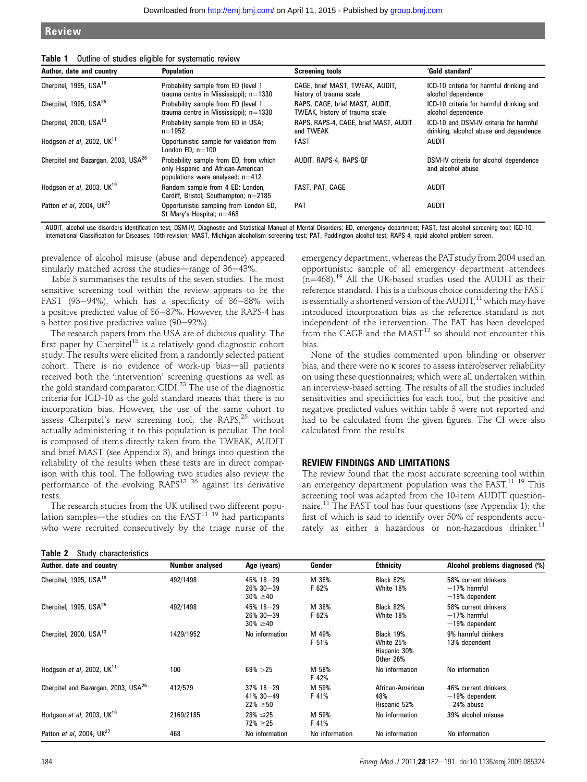| Author, date and country                        | <b>Population</b>                                                                                                | <b>Screening tools</b>                                           | 'Gold standard'                                                                  |
|-------------------------------------------------|------------------------------------------------------------------------------------------------------------------|------------------------------------------------------------------|----------------------------------------------------------------------------------|
| Cherpitel, 1995, USA <sup>18</sup>              | Probability sample from ED (level 1<br>trauma centre in Mississippi); $n=1330$                                   | CAGE, brief MAST, TWEAK, AUDIT,<br>history of trauma scale       | ICD-10 criteria for harmful drinking and<br>alcohol dependence                   |
| Cherpitel, 1995, USA <sup>25</sup>              | Probability sample from ED (level 1<br>trauma centre in Mississippi); $n=1330$                                   | RAPS, CAGE, brief MAST, AUDIT,<br>TWEAK, history of trauma scale | ICD-10 criteria for harmful drinking and<br>alcohol dependence                   |
| Cherpitel, 2000, USA <sup>13</sup>              | Probability sample from ED in USA;<br>$n=1952$                                                                   | RAPS, RAPS-4, CAGE, brief MAST, AUDIT<br>and TWEAK               | ICD-10 and DSM-IV criteria for harmful<br>drinking, alcohol abuse and dependence |
| Hodgson et al, 2002, $UK11$                     | Opportunistic sample for validation from<br>London $ED: n=100$                                                   | <b>FAST</b>                                                      | <b>AUDIT</b>                                                                     |
| Cherpitel and Bazargan, 2003, USA <sup>26</sup> | Probability sample from ED, from which<br>only Hispanic and African-American<br>populations were analysed; n=412 | AUDIT, RAPS-4, RAPS-QF                                           | DSM-IV criteria for alcohol dependence<br>and alcohol abuse                      |
| Hodgson et al, 2003, $UK19$                     | Random sample from 4 ED: London,<br>Cardiff, Bristol, Southampton; n=2185                                        | FAST, PAT, CAGE                                                  | <b>AUDIT</b>                                                                     |
| Patton et al, 2004, UK <sup>27</sup>            | Opportunistic sampling from London ED,<br>St Mary's Hospital; n=468                                              | <b>PAT</b>                                                       | <b>AUDIT</b>                                                                     |

Table 1 Outline of studies eligible for systematic review

AUDIT, alcohol use disorders identification test; DSM-IV, Diagnostic and Statistical Manual of Mental Disorders; ED, emergency department; FAST, fast alcohol screening tool; ICD-10, International Classification for Diseases, 10th revision; MAST, Michigan alcoholism screening test; PAT, Paddington alcohol test; RAPS-4, rapid alcohol problem screen.

prevalence of alcohol misuse (abuse and dependence) appeared similarly matched across the studies—range of  $36-43\%$ .

Table 3 summarises the results of the seven studies. The most sensitive screening tool within the review appears to be the FAST (93-94%), which has a specificity of 86-88% with a positive predicted value of  $86-87$ %. However, the RAPS-4 has a better positive predictive value  $(90-92\%)$ .

The research papers from the USA are of dubious quality. The first paper by  $Cherpitch<sup>18</sup>$  is a relatively good diagnostic cohort study. The results were elicited from a randomly selected patient cohort. There is no evidence of work-up bias-all patients received both the 'intervention' screening questions as well as the gold standard comparator, CIDI.<sup>23</sup> The use of the diagnostic criteria for ICD-10 as the gold standard means that there is no incorporation bias. However, the use of the same cohort to assess Cherpitel's new screening tool, the RAPS, $^{25}$  without actually administering it to this population is peculiar. The tool is composed of items directly taken from the TWEAK, AUDIT and brief MAST (see Appendix 3), and brings into question the reliability of the results when these tests are in direct comparison with this tool. The following two studies also review the performance of the evolving RAPS<sup>13 26</sup> against its derivative tests.

The research studies from the UK utilised two different population samples—the studies on the  $FAST^{11}$  19 had participants who were recruited consecutively by the triage nurse of the

| Table 2 |  | Study characteristics |
|---------|--|-----------------------|
|---------|--|-----------------------|

emergency department, whereas the PATstudy from 2004 used an opportunistic sample of all emergency department attendees  $(n=468).$ <sup>19</sup> All the UK-based studies used the AUDIT as their reference standard. This is a dubious choice considering the FAST is essentially a shortened version of the AUDIT,<sup>11</sup> which may have introduced incorporation bias as the reference standard is not independent of the intervention. The PAT has been developed from the CAGE and the  $MAST^{12}$  so should not encounter this bias.

None of the studies commented upon blinding or observer bias, and there were no k scores to assess interobserver reliability on using these questionnaires; which were all undertaken within an interview-based setting. The results of all the studies included sensitivities and specificities for each tool, but the positive and negative predicted values within table 3 were not reported and had to be calculated from the given figures. The CI were also calculated from the results.

### REVIEW FINDINGS AND LIMITATIONS

The review found that the most accurate screening tool within an emergency department population was the FAST.<sup>11 19</sup> This screening tool was adapted from the 10-item AUDIT questionnaire.<sup>11</sup> The FAST tool has four questions (see Appendix 1); the first of which is said to identify over 50% of respondents accurately as either a hazardous or non-hazardous drinker.<sup>11</sup>

| Author, date and country                        | Number analysed | Age (years)                                    | Gender         | <b>Ethnicity</b>                                    | Alcohol problems diagnosed (%)                             |
|-------------------------------------------------|-----------------|------------------------------------------------|----------------|-----------------------------------------------------|------------------------------------------------------------|
| Cherpitel, 1995, USA <sup>18</sup>              | 492/1498        | $45\%$ 18-29<br>$26\%30 - 39$<br>$30\% \ge 40$ | M 38%<br>F 62% | Black 82%<br>White 18%                              | 58% current drinkers<br>$-17%$ harmful<br>$-19%$ dependent |
| Cherpitel, 1995, USA <sup>25</sup>              | 492/1498        | 45% 18-29<br>$26\%30 - 39$<br>$30\% \ge 40$    | M 38%<br>F 62% | Black 82%<br>White 18%                              | 58% current drinkers<br>$-17%$ harmful<br>$-19%$ dependent |
| Cherpitel, 2000, USA <sup>13</sup>              | 1429/1952       | No information                                 | M 49%<br>F 51% | Black 19%<br>White 25%<br>Hispanic 30%<br>Other 26% | 9% harmful drinkers<br>13% dependent                       |
| Hodgson et al, 2002, $UK11$                     | 100             | $69\% > 25$                                    | M 58%<br>F 42% | No information                                      | No information                                             |
| Cherpitel and Bazargan, 2003, USA <sup>26</sup> | 412/579         | $37\%$ 18-29<br>$41\%30 - 49$<br>$22\% \ge 50$ | M 59%<br>F 41% | African-American<br>48%<br>Hispanic 52%             | 46% current drinkers<br>$-19%$ dependent<br>$-24\%$ abuse  |
| Hodgson et al, 2003, $UK^{19}$                  | 2169/2185       | $28\% \le 25$<br>$72\% \ge 25$                 | M 59%<br>F 41% | No information                                      | 39% alcohol misuse                                         |
| Patton et al. 2004. UK <sup>27</sup>            | 468             | No information                                 | No information | No information                                      | No information                                             |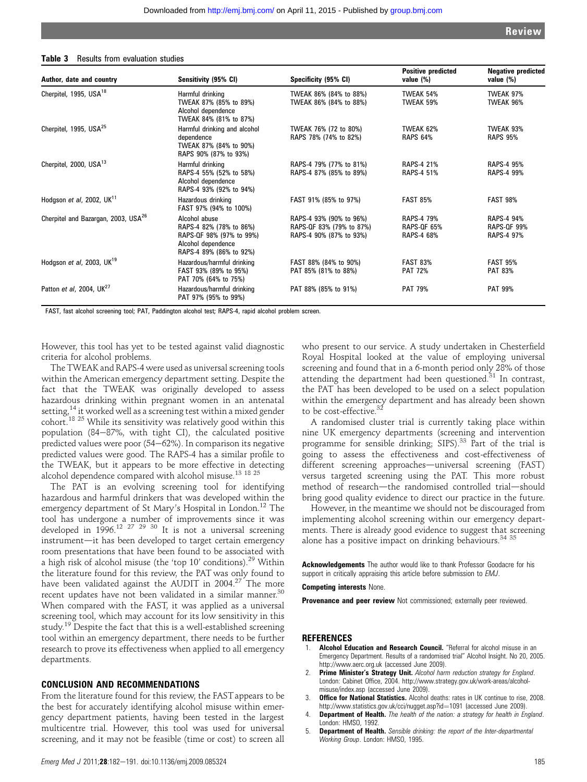#### Table 3 Results from evaluation studies

| Author, date and country                        | Sensitivity (95% CI)                                                                                                  | Specificity (95% CI)                                                           | <b>Positive predicted</b><br>value (%)         | <b>Negative predicted</b><br>value (%)                |
|-------------------------------------------------|-----------------------------------------------------------------------------------------------------------------------|--------------------------------------------------------------------------------|------------------------------------------------|-------------------------------------------------------|
| Cherpitel, 1995, USA <sup>18</sup>              | Harmful drinking<br>TWEAK 87% (85% to 89%)<br>Alcohol dependence<br>TWEAK 84% (81% to 87%)                            | TWEAK 86% (84% to 88%)<br>TWEAK 86% (84% to 88%)                               | TWEAK 54%<br>TWEAK 59%                         | TWEAK 97%<br>TWEAK 96%                                |
| Cherpitel, 1995, USA <sup>25</sup>              | Harmful drinking and alcohol<br>dependence<br>TWEAK 87% (84% to 90%)<br>RAPS 90% (87% to 93%)                         | TWEAK 76% (72 to 80%)<br>RAPS 78% (74% to 82%)                                 | TWEAK 62%<br><b>RAPS 64%</b>                   | TWEAK 93%<br><b>RAPS 95%</b>                          |
| Cherpitel, 2000, USA <sup>13</sup>              | Harmful drinking<br>RAPS-4 55% (52% to 58%)<br>Alcohol dependence<br>RAPS-4 93% (92% to 94%)                          | RAPS-4 79% (77% to 81%)<br>RAPS-4 87% (85% to 89%)                             | <b>RAPS-4 21%</b><br>RAPS-4 51%                | <b>RAPS-4 95%</b><br><b>RAPS-4 99%</b>                |
| Hodgson et al, 2002, $UK11$                     | Hazardous drinking<br>FAST 97% (94% to 100%)                                                                          | FAST 91% (85% to 97%)                                                          | <b>FAST 85%</b>                                | <b>FAST 98%</b>                                       |
| Cherpitel and Bazargan, 2003, USA <sup>26</sup> | Alcohol abuse<br>RAPS-4 82% (78% to 86%)<br>RAPS-QF 98% (97% to 99%)<br>Alcohol dependence<br>RAPS-4 89% (86% to 92%) | RAPS-4 93% (90% to 96%)<br>RAPS-QF 83% (79% to 87%)<br>RAPS-4 90% (87% to 93%) | RAPS-4 79%<br><b>RAPS-OF 65%</b><br>RAPS-4 68% | <b>RAPS-4 94%</b><br><b>RAPS-QF 99%</b><br>RAPS-4 97% |
| Hodgson et al, 2003, $UK19$                     | Hazardous/harmful drinking<br>FAST 93% (89% to 95%)<br>PAT 70% (64% to 75%)                                           | FAST 88% (84% to 90%)<br>PAT 85% (81% to 88%)                                  | <b>FAST 83%</b><br><b>PAT 72%</b>              | <b>FAST 95%</b><br><b>PAT 83%</b>                     |
| Patton et al, 2004, UK <sup>27</sup>            | Hazardous/harmful drinking<br>PAT 97% (95% to 99%)                                                                    | PAT 88% (85% to 91%)                                                           | <b>PAT 79%</b>                                 | <b>PAT 99%</b>                                        |

FAST, fast alcohol screening tool; PAT, Paddington alcohol test; RAPS-4, rapid alcohol problem screen.

However, this tool has yet to be tested against valid diagnostic criteria for alcohol problems.

The TWEAK and RAPS-4 were used as universal screening tools within the American emergency department setting. Despite the fact that the TWEAK was originally developed to assess hazardous drinking within pregnant women in an antenatal setting,<sup>14</sup> it worked well as a screening test within a mixed gender cohort.18 25 While its sensitivity was relatively good within this population  $(84-87)$ %, with tight CI), the calculated positive predicted values were poor  $(54–62%)$ . In comparison its negative predicted values were good. The RAPS-4 has a similar profile to the TWEAK, but it appears to be more effective in detecting alcohol dependence compared with alcohol misuse.<sup>13</sup> <sup>18</sup> <sup>25</sup>

The PAT is an evolving screening tool for identifying hazardous and harmful drinkers that was developed within the emergency department of St Mary's Hospital in London.<sup>12</sup> The tool has undergone a number of improvements since it was developed in 1996.<sup>12 27 29 30</sup> It is not a universal screening instrument-it has been developed to target certain emergency room presentations that have been found to be associated with a high risk of alcohol misuse (the 'top 10' conditions).<sup>29</sup> Within the literature found for this review, the PAT was only found to have been validated against the AUDIT in 2004.<sup>27</sup> The more recent updates have not been validated in a similar manner.<sup>30</sup> When compared with the FAST, it was applied as a universal screening tool, which may account for its low sensitivity in this study.<sup>19</sup> Despite the fact that this is a well-established screening tool within an emergency department, there needs to be further research to prove its effectiveness when applied to all emergency departments.

#### CONCLUSION AND RECOMMENDATIONS

From the literature found for this review, the FAST appears to be the best for accurately identifying alcohol misuse within emergency department patients, having been tested in the largest multicentre trial. However, this tool was used for universal screening, and it may not be feasible (time or cost) to screen all

who present to our service. A study undertaken in Chesterfield Royal Hospital looked at the value of employing universal screening and found that in a 6-month period only 28% of those attending the department had been questioned. $31$  In contrast, the PAT has been developed to be used on a select population within the emergency department and has already been shown to be cost-effective.<sup>32</sup>

A randomised cluster trial is currently taking place within nine UK emergency departments (screening and intervention programme for sensible drinking; SIPS).<sup>33</sup> Part of the trial is going to assess the effectiveness and cost-effectiveness of different screening approaches—universal screening (FAST) versus targeted screening using the PAT. This more robust method of research-the randomised controlled trial-should bring good quality evidence to direct our practice in the future.

However, in the meantime we should not be discouraged from implementing alcohol screening within our emergency departments. There is already good evidence to suggest that screening alone has a positive impact on drinking behaviours. $3435$ 

Acknowledgements The author would like to thank Professor Goodacre for his support in critically appraising this article before submission to EMJ.

#### Competing interests None.

Provenance and peer review Not commissioned; externally peer reviewed.

#### **REFERENCES**

- Alcohol Education and Research Council. "Referral for alcohol misuse in an Emergency Department. Results of a randomised trial" Alcohol Insight. No 20, 2005. http://www.aerc.org.uk (accessed June 2009).
- Prime Minister's Strategy Unit. Alcohol harm reduction strategy for England. London: Cabinet Office, 2004. http://www.strategy.gov.uk/work-areas/alcoholmisuse/index.asp (accessed June 2009).
- 3. **Office for National Statistics.** Alcohol deaths: rates in UK continue to rise, 2008. http://www.statistics.gov.uk/cci/nugget.asp?id=1091 (accessed June 2009).
- 4. **Department of Health.** The health of the nation: a strategy for health in England. London: HMSO, 1992.
- 5. Department of Health. Sensible drinking: the report of the Inter-departmental Working Group. London: HMSO, 1995.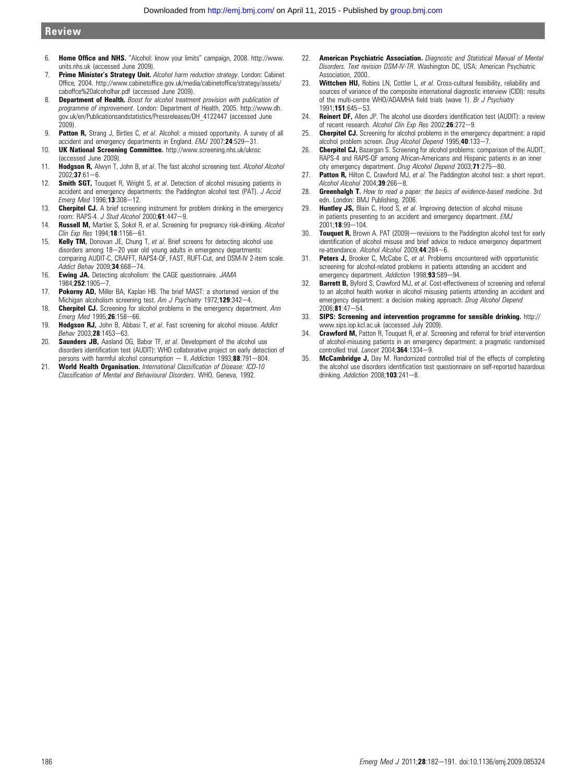## Review

- 6. Home Office and NHS. "Alcohol: know your limits" campaign, 2008. http://www. units.nhs.uk (accessed June 2009).
- 7. Prime Minister's Strategy Unit. Alcohol harm reduction strategy. London: Cabinet Office, 2004. http://www.cabinetoffice.gov.uk/media/cabinetoffice/strategy/assets/ caboffce%20alcoholhar.pdf (accessed June 2009).
- 8. **Department of Health.** Boost for alcohol treatment provision with publication of programme of improvement. London: Department of Health, 2005. http://www.dh. gov.uk/en/Publicationsandstatistics/Pressreleases/DH\_4122447 (accessed June 2009).
- 9. **Patton R,** Strang J, Birtles C, et al. Alcohol: a missed opportunity. A survey of all accident and emergency departments in England. EMJ 2007;24:529-31.
- 10. UK National Screening Committee. http://www.screening.nhs.uk/uknsc (accessed June 2009).
- 11. Hodgson R, Alwyn T, John B, et al. The fast alcohol screening test. Alcohol Alcohol  $2002:37:61-6.$
- 12. Smith SGT, Touquet R, Wright S, et al. Detection of alcohol misusing patients in accident and emergency departments: the Paddington alcohol test (PAT). J Accid Emerg Med 1996;13:308-12.
- 13. **Cherpitel CJ.** A brief screening instrument for problem drinking in the emergency room: RAPS-4. J Stud Alcohol 2000;61:447-9.
- 14. Russell M, Martier S, Sokol R, et al. Screening for pregnancy risk-drinking. Alcohol Clin Exp Res 1994;18:1156-61.
- 15. Kelly TM, Donovan JE, Chung T, et al. Brief screens for detecting alcohol use disorders among 18-20 year old young adults in emergency departments: comparing AUDIT-C, CRAFFT, RAPS4-QF, FAST, RUFT-Cut, and DSM-IV 2-item scale. Addict Behav 2009:34:668-74.
- 16. Ewing JA. Detecting alcoholism: the CAGE questionnaire. JAMA 1984; 252:1905-7.
- 17. Pokorny AD, Miller BA, Kaplan HB. The brief MAST: a shortened version of the Michigan alcoholism screening test. Am J Psychiatry 1972;129:342-4.
- 18. Cherpitel CJ. Screening for alcohol problems in the emergency department. Ann Emerg Med 1995;26:158-66.
- 19. Hodgson RJ, John B, Abbasi T, et al. Fast screening for alcohol misuse. Addict Behav 2003;28:1453-63.
- 20. **Saunders JB.** Aasland OG, Babor TF, et al. Development of the alcohol use disorders identification test (AUDIT): WHO collaborative project on early detection of persons with harmful alcohol consumption  $-$  II. Addiction 1993;88:791-804.
- 21. World Health Organisation. International Classification of Disease: ICD-10 Classification of Mental and Behavioural Disorders. WHO, Geneva, 1992.
- 22. **American Psychiatric Association**, Diagnostic and Statistical Manual of Mental Disorders. Text revision DSM-IV-TR. Washington DC, USA: American Psychiatric Association, 2000.
- 23. Wittchen HU, Robins LN, Cottler L, et al. Cross-cultural feasibility, reliability and sources of variance of the composite international diagnostic interview (CIDI): results of the multi-centre WHO/ADAMHA field trials (wave 1). Br J Psychiatry 1991:151:645-53.
- 24. Reinert DF, Allen JP. The alcohol use disorders identification test (AUDIT): a review of recent research. Alcohol Clin Exp Res 2002;26:272-9.
- 25. **Cherpitel CJ.** Screening for alcohol problems in the emergency department: a rapid alcohol problem screen. Drug Alcohol Depend 1995;40:133-7.
- 26. Cherpitel CJ, Bazargan S. Screening for alcohol problems: comparison of the AUDIT, RAPS-4 and RAPS-QF among African-Americans and Hispanic patients in an inner city emergency department. Drug Alcohol Depend 2003;71:275-80.
- 27. **Patton R.** Hilton C. Crawford MJ, et al. The Paddington alcohol test: a short report. Alcohol Alcohol  $2004:39:266-8$ .
- 28. Greenhalgh T. How to read a paper: the basics of evidence-based medicine. 3rd edn. London: BMJ Publishing, 2006.
- 29. **Huntley JS,** Blain C, Hood S, et al. Improving detection of alcohol misuse in patients presenting to an accident and emergency department. EMJ  $2001 \cdot 18 \cdot 99 - 104$
- 30. **Touquet R,** Brown A. PAT (2009)—revisions to the Paddington alcohol test for early identification of alcohol misuse and brief advice to reduce emergency department re-attendance. Alcohol Alcohol 2009;44:284-6.
- 31. **Peters J.** Brooker C. McCabe C. et al. Problems encountered with opportunistic screening for alcohol-related problems in patients attending an accident and emergency department. Addiction 1998;93:589-94.
- 32. Barrett B, Byford S, Crawford MJ, et al. Cost-effectiveness of screening and referral to an alcohol health worker in alcohol misusing patients attending an accident and emergency department: a decision making approach. Drug Alcohol Depend  $2006:81:47 - 54$
- 33. SIPS: Screening and intervention programme for sensible drinking. http:// www.sips.iop.kcl.ac.uk (accessed July 2009).
- 34. Crawford M, Patton R, Touquet R, et al. Screening and referral for brief intervention of alcohol-misusing patients in an emergency department: a pragmatic randomised controlled trial. Lancet  $2004; 364:1334-9$ .
- 35. McCambridge J, Day M. Randomized controlled trial of the effects of completing the alcohol use disorders identification test questionnaire on self-reported hazardous drinking. Addiction 2008;103:241-8.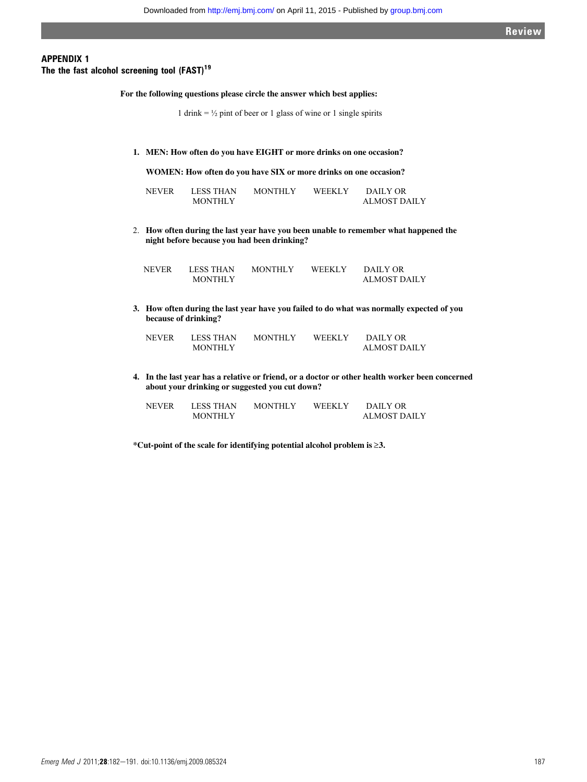Review

## APPENDIX 1

The the fast alcohol screening tool  $(FAST)^{19}$ 

**For the following questions please circle the answer which best applies:** 

1 drink =  $\frac{1}{2}$  pint of beer or 1 glass of wine or 1 single spirits

**1. MEN: How often do you have EIGHT or more drinks on one occasion?** 

**WOMEN: How often do you have SIX or more drinks on one occasion?** 

| NEVER | <b>LESS THAN</b> | <b>MONTHLY</b> | <b>WEEKLY</b> | DAILY OR            |
|-------|------------------|----------------|---------------|---------------------|
|       | <b>MONTHLY</b>   |                |               | <b>ALMOST DAILY</b> |

2. **How often during the last year have you been unable to remember what happened the night before because you had been drinking?**

| NEVER | <b>LESS THAN</b> | <b>MONTHLY</b> | <b>WEEKLY</b> | DAILY OR     |
|-------|------------------|----------------|---------------|--------------|
|       | <b>MONTHLY</b>   |                |               | ALMOST DAILY |

**3. How often during the last year have you failed to do what was normally expected of you because of drinking?** 

| <b>NEVER</b> | <b>LESS THAN</b> | <b>MONTHLY</b> | <b>WEEKLY</b> | DAILY OR            |
|--------------|------------------|----------------|---------------|---------------------|
|              | <b>MONTHLY</b>   |                |               | <b>ALMOST DAILY</b> |

**4. In the last year has a relative or friend, or a doctor or other health worker been concerned about your drinking or suggested you cut down?**

| NEVER | LESS THAN      | <b>MONTHLY</b> | <b>WEEKLY</b> | DAILY OR            |
|-------|----------------|----------------|---------------|---------------------|
|       | <b>MONTHLY</b> |                |               | <b>ALMOST DAILY</b> |

**\*Cut-point of the scale for identifying potential alcohol problem is** ≥**3.**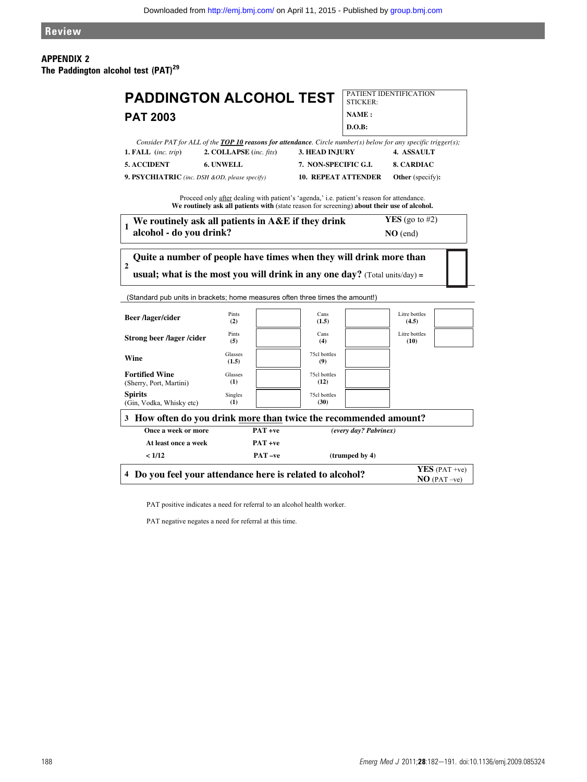## APPENDIX 2 The Paddington alcohol test (PAT)<sup>29</sup>

| <b>PADDINGTON ALCOHOL TEST</b>                                                                  |                                                                                                                                                                                          |                            | STICKER:              | PATIENT IDENTIFICATION   |  |
|-------------------------------------------------------------------------------------------------|------------------------------------------------------------------------------------------------------------------------------------------------------------------------------------------|----------------------------|-----------------------|--------------------------|--|
| <b>PAT 2003</b>                                                                                 |                                                                                                                                                                                          |                            | NAME:                 |                          |  |
|                                                                                                 |                                                                                                                                                                                          |                            | D.O.B:                |                          |  |
|                                                                                                 | Consider PAT for ALL of the TOP 10 reasons for attendance. Circle number(s) below for any specific trigger(s);                                                                           |                            |                       |                          |  |
| 1. FALL (inc. trip)                                                                             | 2. COLLAPSE (inc. fits)                                                                                                                                                                  | 3. HEAD INJURY             |                       | 4. ASSAULT               |  |
| <b>5. ACCIDENT</b>                                                                              | 6. UNWELL                                                                                                                                                                                | 7. NON-SPECIFIC G.L.       |                       | <b>8. CARDIAC</b>        |  |
| 9. PSYCHIATRIC (inc. DSH &OD, please specify)                                                   |                                                                                                                                                                                          | <b>10. REPEAT ATTENDER</b> |                       | Other (specify):         |  |
|                                                                                                 | Proceed only after dealing with patient's 'agenda,' i.e. patient's reason for attendance.<br>We routinely ask all patients with (state reason for screening) about their use of alcohol. |                            |                       |                          |  |
| $\mathbf{1}$                                                                                    | We routinely ask all patients in A&E if they drink                                                                                                                                       |                            |                       | <b>YES</b> (go to $#2$ ) |  |
| alcohol - do you drink?                                                                         |                                                                                                                                                                                          |                            |                       | $NO$ (end)               |  |
| $\overline{2}$<br>(Standard pub units in brackets; home measures often three times the amount!) | Quite a number of people have times when they will drink more than<br>usual; what is the most you will drink in any one day? (Total units/day) =                                         |                            |                       |                          |  |
| <b>Beer</b> /lager/cider                                                                        | Pints<br>(2)                                                                                                                                                                             | Cans<br>(1.5)              |                       | Litre bottles<br>(4.5)   |  |
| <b>Strong beer /lager /cider</b>                                                                | Pints<br>(5)                                                                                                                                                                             | Cans<br>(4)                |                       | Litre bottles<br>(10)    |  |
| Wine                                                                                            | Glasses<br>(1.5)                                                                                                                                                                         | 75cl bottles<br>(9)        |                       |                          |  |
| <b>Fortified Wine</b><br>(Sherry, Port, Martini)                                                | Glasses<br>(1)                                                                                                                                                                           | 75cl bottles<br>(12)       |                       |                          |  |
| <b>Spirits</b><br>(Gin, Vodka, Whisky etc)                                                      | Singles<br>(1)                                                                                                                                                                           | 75cl bottles<br>(30)       |                       |                          |  |
| 3 How often do you drink more than twice the recommended amount?                                |                                                                                                                                                                                          |                            |                       |                          |  |
| Once a week or more                                                                             | $PAT + ve$                                                                                                                                                                               |                            | (every day? Pabrinex) |                          |  |
| At least once a week                                                                            | $PAT + ve$                                                                                                                                                                               |                            |                       |                          |  |
| < 1/12                                                                                          | PAT-ve                                                                                                                                                                                   |                            | (trumped by 4)        |                          |  |
|                                                                                                 | <b>YES</b> (PAT +ve)<br>4 Do you feel your attendance here is related to alcohol?<br>$NO$ (PAT -ve)                                                                                      |                            |                       |                          |  |

PAT positive indicates a need for referral to an alcohol health worker.

PAT negative negates a need for referral at this time.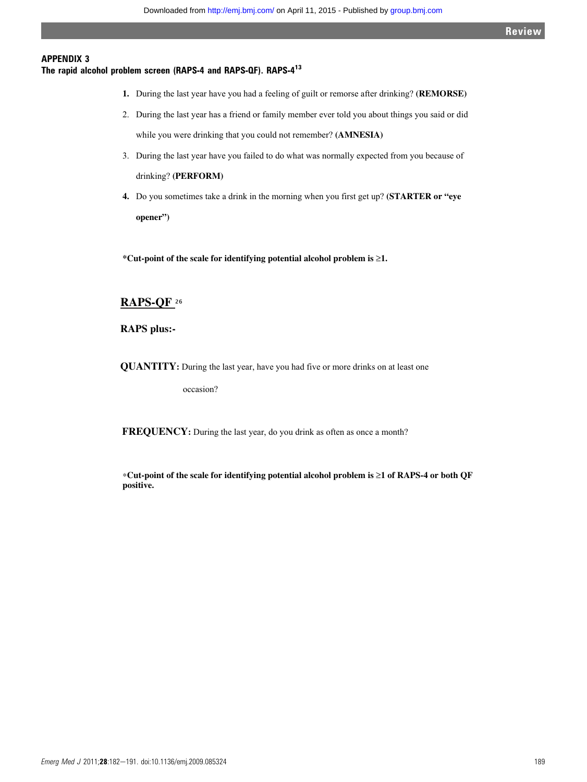## APPENDIX 3

## The rapid alcohol problem screen (RAPS-4 and RAPS-QF). RAPS-413

- **1.** During the last year have you had a feeling of guilt or remorse after drinking? **(REMORSE)**
- 2. During the last year has a friend or family member ever told you about things you said or did while you were drinking that you could not remember? **(AMNESIA)**
- 3. During the last year have you failed to do what was normally expected from you because of drinking? **(PERFORM)**
- **4.** Do you sometimes take a drink in the morning when you first get up? **(STARTER or "eye opener")**

**\*Cut-point of the scale for identifying potential alcohol problem is** ≥**1.**

## **RAPS-QF** 26

**RAPS plus:-** 

**QUANTITY:** During the last year, have you had five or more drinks on at least one

occasion?

**FREQUENCY:** During the last year, do you drink as often as once a month?

∗**Cut-point of the scale for identifying potential alcohol problem is** ≥**1 of RAPS-4 or both QF positive.**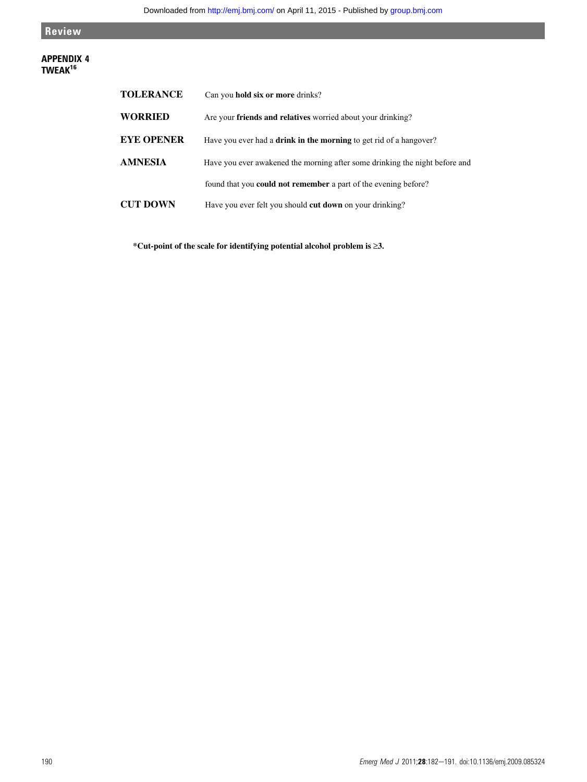Review

## APPENDIX 4 TWEAK<sup>16</sup>

| <b>TOLERANCE</b>  | Can you hold six or more drinks?                                            |
|-------------------|-----------------------------------------------------------------------------|
| <b>WORRIED</b>    | Are your friends and relatives worried about your drinking?                 |
| <b>EYE OPENER</b> | Have you ever had a <b>drink in the morning</b> to get rid of a hangover?   |
| AMNESIA           | Have you ever awakened the morning after some drinking the night before and |
|                   | found that you <b>could not remember</b> a part of the evening before?      |
| <b>CUT DOWN</b>   | Have you ever felt you should <b>cut down</b> on your drinking?             |

**\*Cut-point of the scale for identifying potential alcohol problem is** ≥**3.**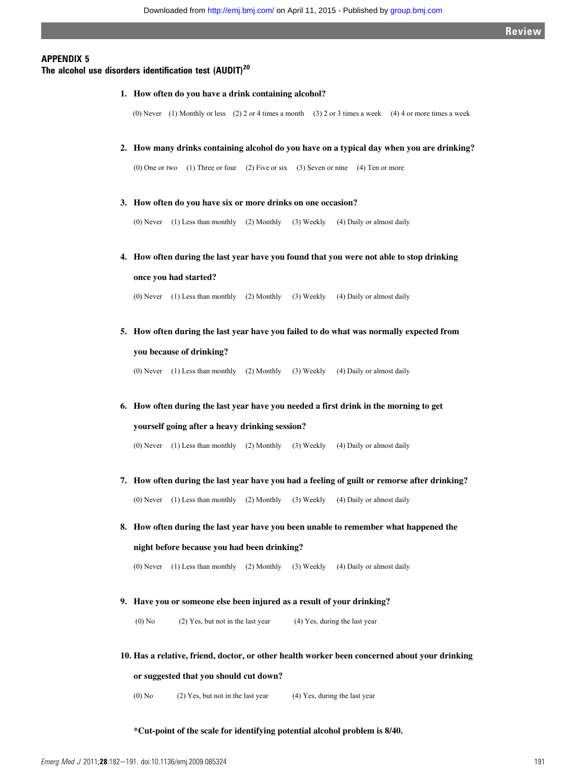## APPENDIX 5

## The alcohol use disorders identification test  $(AUDIT)^{20}$

**1. How often do you have a drink containing alcohol?**

(0) Never (1) Monthly or less (2) 2 or 4 times a month (3) 2 or 3 times a week (4) 4 or more times a week

**2. How many drinks containing alcohol do you have on a typical day when you are drinking?**

(0) One or two (1) Three or four (2) Five or six (3) Seven or nine (4) Ten or more

**3. How often do you have six or more drinks on one occasion?** 

(0) Never (1) Less than monthly (2) Monthly (3) Weekly (4) Daily or almost daily

**4. How often during the last year have you found that you were not able to stop drinking** 

**once you had started?**

(0) Never (1) Less than monthly (2) Monthly (3) Weekly (4) Daily or almost daily

**5. How often during the last year have you failed to do what was normally expected from you because of drinking?**

(0) Never (1) Less than monthly (2) Monthly (3) Weekly (4) Daily or almost daily

**6. How often during the last year have you needed a first drink in the morning to get yourself going after a heavy drinking session?**

(0) Never (1) Less than monthly (2) Monthly (3) Weekly (4) Daily or almost daily

- **7. How often during the last year have you had a feeling of guilt or remorse after drinking?** (0) Never (1) Less than monthly (2) Monthly (3) Weekly (4) Daily or almost daily
- **8. How often during the last year have you been unable to remember what happened the night before because you had been drinking?**

(0) Never (1) Less than monthly (2) Monthly (3) Weekly (4) Daily or almost daily

**9. Have you or someone else been injured as a result of your drinking?**

(0) No  $(2)$  Yes, but not in the last year  $(4)$  Yes, during the last year

**10. Has a relative, friend, doctor, or other health worker been concerned about your drinking** 

**or suggested that you should cut down?** 

(0) No (2) Yes, but not in the last year (4) Yes, during the last year

**\*Cut-point of the scale for identifying potential alcohol problem is 8/40.**